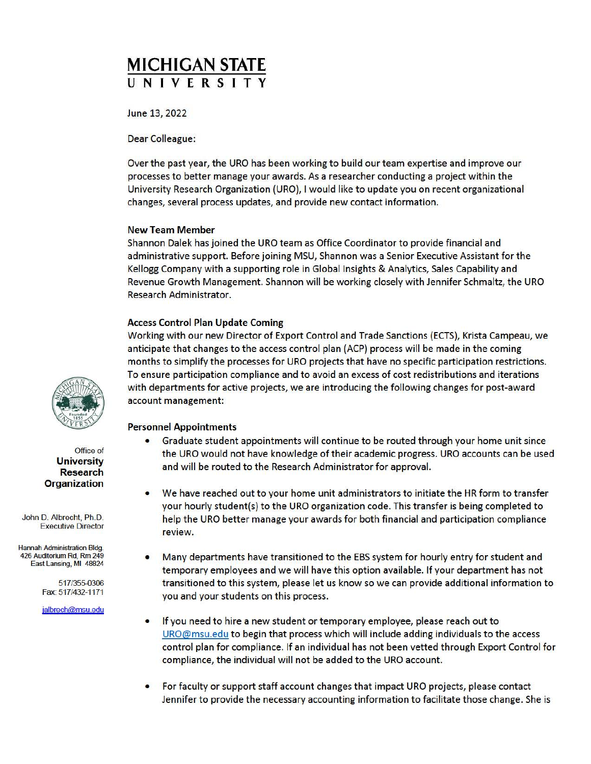# **MICHIGAN STATE UNIVERSITY**

June 13, 2022

Dear Colleague:

Over the past year, the URO has been working to build our team expertise and improve our processes to better manage your awards. As a researcher conducting a project within the University Research Organization (URO), I would like to update you on recent organizational changes, several process updates, and provide new contact information.

## New Team Member

Shannon Dalek has joined the URO team as Office Coordinator to provide financial and administrative support. Before joining MSU, Shannon was a Senior Executive Assistant for the Kellogg Company with a supporting role in Global Insights & Analytics, Sales Capability and Revenue Growth Management. Shannon will be working closely with Jennifer Schmaltz, the URO Research Administrator.

## Access Control Plan Update Coming

Working with our new Director of Export Control and Trade Sanctions (ECTS), Krista Campeau, we anticipate that changes to the access control plan (ACP) process will be made in the coming months to simplify the processes for URO projects that have no specific participation restrictions. To ensure participation compliance and to avoid an excess of cost redistributions and iterations with departments for active projects, we are introducing the following changes for post-award account management:

# Personnel Appointments

- Graduate student appointments will continue to be routed through your home unit since the URO would not have knowledge of their academic progress. URO accounts can be used and will be routed to the Research Administrator for approval.
- We have reached out to your home unit administrators to initiate the HR form to transfer your hourly student(s) to the URO organization code. This transfer is being completed to help the URO better manage your awards for both financial and participation compliance review.
- Many departments have transitioned to the EBS system for hourly entry for student and temporary employees and we will have this option available. If your department has not transitioned to this system, please let us know so we can provide additional information to you and your students on this process.
- If you need to hire a new student or temporary employee, please reach out to  $URO@musu.edu$  to begin that process which will include adding individuals to the access control plan for compliance. If an individual has not been vetted through Export Control for compliance, the individual will not be added to the URO account.
- For faculty or support staff account changes that impact URO projects, please contact Jennifer to provide the necessary accounting information to facilitate those change. She is



Office of **University Research Organization** 

John D. Albrecht, Ph.D. Executive Director

Hannah Administration Bldg. 426 Auditorium Rd, Rm 249 East Lansing, **Ml** 48824

> 517 /355-0306 Fax: 517/432-1171

jalbrech@msu.edu